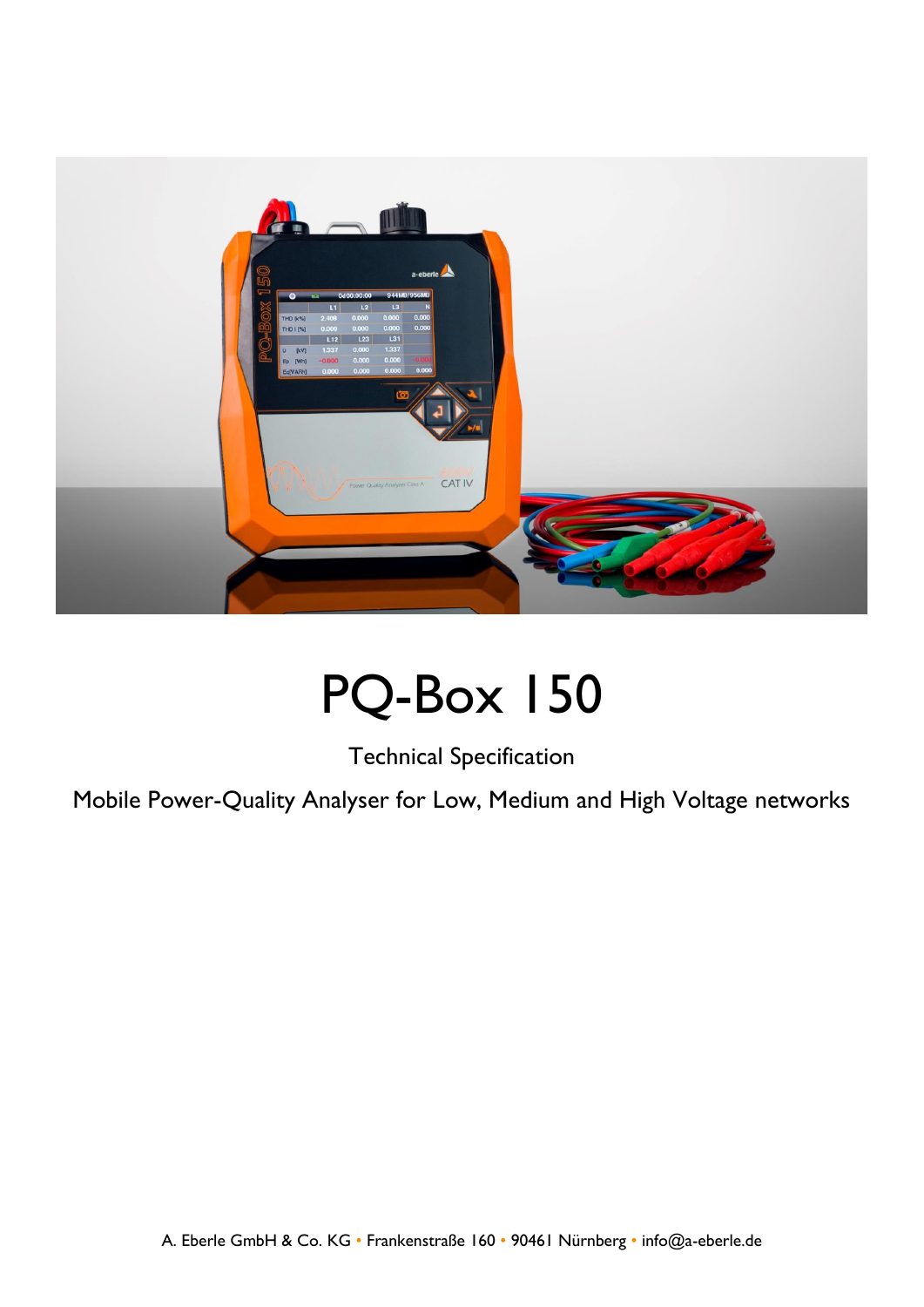

## PQ-Box 150

Technical Specification

Mobile Power-Quality Analyser for Low, Medium and High Voltage networks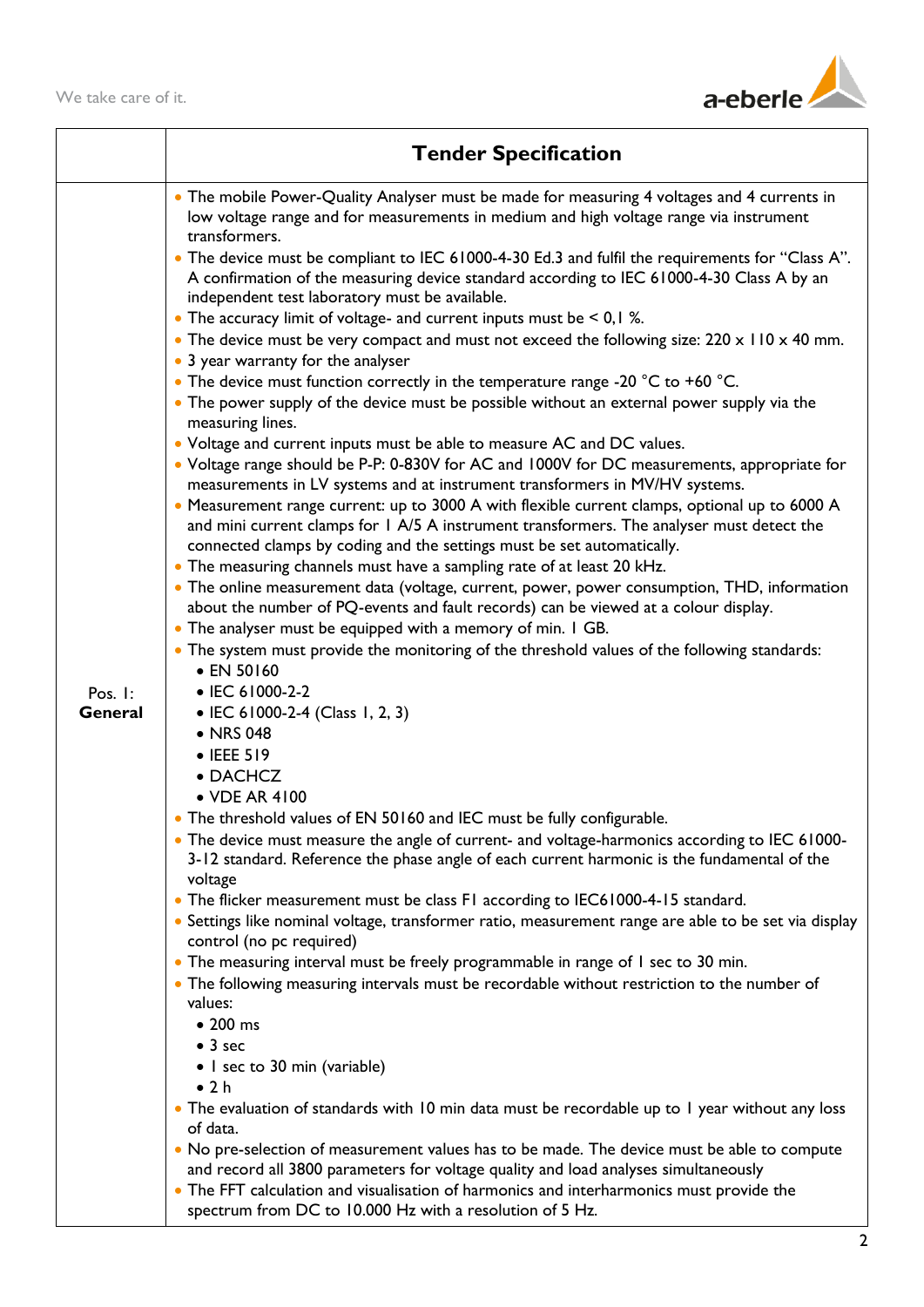

|         | <b>Tender Specification</b>                                                                                                                                                                                                                                          |
|---------|----------------------------------------------------------------------------------------------------------------------------------------------------------------------------------------------------------------------------------------------------------------------|
|         | • The mobile Power-Quality Analyser must be made for measuring 4 voltages and 4 currents in<br>low voltage range and for measurements in medium and high voltage range via instrument<br>transformers.                                                               |
|         | • The device must be compliant to IEC 61000-4-30 Ed.3 and fulfil the requirements for "Class A".<br>A confirmation of the measuring device standard according to IEC 61000-4-30 Class A by an<br>independent test laboratory must be available.                      |
|         | • The accuracy limit of voltage- and current inputs must be $\leq 0,1\%$ .<br>• The device must be very compact and must not exceed the following size: $220 \times 110 \times 40$ mm.<br>• 3 year warranty for the analyser                                         |
|         | • The device must function correctly in the temperature range -20 $^{\circ}$ C to +60 $^{\circ}$ C.<br>• The power supply of the device must be possible without an external power supply via the<br>measuring lines.                                                |
|         | • Voltage and current inputs must be able to measure AC and DC values.<br>• Voltage range should be P-P: 0-830V for AC and 1000V for DC measurements, appropriate for<br>measurements in LV systems and at instrument transformers in MV/HV systems.                 |
|         | • Measurement range current: up to 3000 A with flexible current clamps, optional up to 6000 A<br>and mini current clamps for 1 A/5 A instrument transformers. The analyser must detect the<br>connected clamps by coding and the settings must be set automatically. |
|         | • The measuring channels must have a sampling rate of at least 20 kHz.<br>• The online measurement data (voltage, current, power, power consumption, THD, information                                                                                                |
|         | about the number of PQ-events and fault records) can be viewed at a colour display.                                                                                                                                                                                  |
|         | • The analyser must be equipped with a memory of min. I GB.<br>• The system must provide the monitoring of the threshold values of the following standards:                                                                                                          |
|         | • EN 50160                                                                                                                                                                                                                                                           |
| Pos. I: | • IEC 61000-2-2                                                                                                                                                                                                                                                      |
| General | • IEC 61000-2-4 (Class 1, 2, 3)<br>• NRS 048                                                                                                                                                                                                                         |
|         | • IEEE 519                                                                                                                                                                                                                                                           |
|         | • DACHCZ                                                                                                                                                                                                                                                             |
|         | • VDE AR 4100                                                                                                                                                                                                                                                        |
|         | • The threshold values of EN 50160 and IEC must be fully configurable.                                                                                                                                                                                               |
|         | • The device must measure the angle of current- and voltage-harmonics according to IEC 61000-<br>3-12 standard. Reference the phase angle of each current harmonic is the fundamental of the<br>voltage                                                              |
|         | • The flicker measurement must be class F1 according to IEC61000-4-15 standard.                                                                                                                                                                                      |
|         | · Settings like nominal voltage, transformer ratio, measurement range are able to be set via display<br>control (no pc required)                                                                                                                                     |
|         | • The measuring interval must be freely programmable in range of I sec to 30 min.                                                                                                                                                                                    |
|         | • The following measuring intervals must be recordable without restriction to the number of<br>values:                                                                                                                                                               |
|         | • 200 ms                                                                                                                                                                                                                                                             |
|         | $\bullet$ 3 sec                                                                                                                                                                                                                                                      |
|         | • I sec to 30 min (variable)                                                                                                                                                                                                                                         |
|         | $\bullet$ 2 h                                                                                                                                                                                                                                                        |
|         | • The evaluation of standards with 10 min data must be recordable up to 1 year without any loss<br>of data.                                                                                                                                                          |
|         | • No pre-selection of measurement values has to be made. The device must be able to compute<br>and record all 3800 parameters for voltage quality and load analyses simultaneously                                                                                   |
|         | • The FFT calculation and visualisation of harmonics and interharmonics must provide the<br>spectrum from DC to 10.000 Hz with a resolution of 5 Hz.                                                                                                                 |